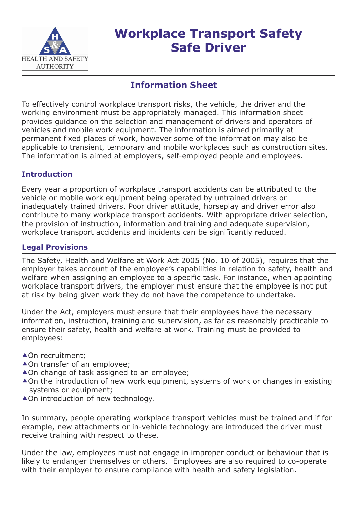

# **Workplace Transport Safety Safe Driver**

## **Information Sheet**

To effectively control workplace transport risks, the vehicle, the driver and the working environment must be appropriately managed. This information sheet provides guidance on the selection and management of drivers and operators of vehicles and mobile work equipment. The information is aimed primarily at permanent fixed places of work, however some of the information may also be applicable to transient, temporary and mobile workplaces such as construction sites. The information is aimed at employers, self-employed people and employees.

## **Introduction**

Every year a proportion of workplace transport accidents can be attributed to the vehicle or mobile work equipment being operated by untrained drivers or inadequately trained drivers. Poor driver attitude, horseplay and driver error also contribute to many workplace transport accidents. With appropriate driver selection, the provision of instruction, information and training and adequate supervision, workplace transport accidents and incidents can be significantly reduced.

## **Legal Provisions**

The Safety, Health and Welfare at Work Act 2005 (No. 10 of 2005), requires that the employer takes account of the employee's capabilities in relation to safety, health and welfare when assigning an employee to a specific task. For instance, when appointing workplace transport drivers, the employer must ensure that the employee is not put at risk by being given work they do not have the competence to undertake.

Under the Act, employers must ensure that their employees have the necessary information, instruction, training and supervision, as far as reasonably practicable to ensure their safety, health and welfare at work. Training must be provided to employees:

- ▲ On recruitment;
- ▲ On transfer of an employee;
- ▲ On change of task assigned to an employee;
- ▲ On the introduction of new work equipment, systems of work or changes in existing systems or equipment;
- ▲ On introduction of new technology.

In summary, people operating workplace transport vehicles must be trained and if for example, new attachments or in-vehicle technology are introduced the driver must receive training with respect to these.

Under the law, employees must not engage in improper conduct or behaviour that is likely to endanger themselves or others. Employees are also required to co-operate with their employer to ensure compliance with health and safety legislation.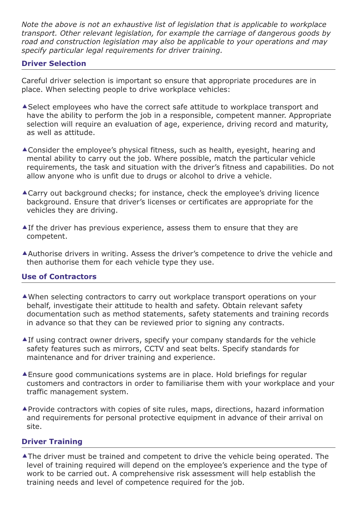*Note the above is not an exhaustive list of legislation that is applicable to workplace transport. Other relevant legislation, for example the carriage of dangerous goods by road and construction legislation may also be applicable to your operations and may specify particular legal requirements for driver training.*

#### **Driver Selection**

Careful driver selection is important so ensure that appropriate procedures are in place. When selecting people to drive workplace vehicles:

- Select employees who have the correct safe attitude to workplace transport and have the ability to perform the job in a responsible, competent manner. Appropriate selection will require an evaluation of age, experience, driving record and maturity, as well as attitude.
- Consider the employee's physical fitness, such as health, eyesight, hearing and mental ability to carry out the job. Where possible, match the particular vehicle requirements, the task and situation with the driver's fitness and capabilities. Do not allow anyone who is unfit due to drugs or alcohol to drive a vehicle.
- Carry out background checks; for instance, check the employee's driving licence background. Ensure that driver's licenses or certificates are appropriate for the vehicles they are driving.
- $\triangle$  If the driver has previous experience, assess them to ensure that they are competent.
- Authorise drivers in writing. Assess the driver's competence to drive the vehicle and then authorise them for each vehicle type they use.

#### **Use of Contractors**

- When selecting contractors to carry out workplace transport operations on your behalf, investigate their attitude to health and safety. Obtain relevant safety documentation such as method statements, safety statements and training records in advance so that they can be reviewed prior to signing any contracts.
- If using contract owner drivers, specify your company standards for the vehicle safety features such as mirrors, CCTV and seat belts. Specify standards for maintenance and for driver training and experience.
- Ensure good communications systems are in place. Hold briefings for regular customers and contractors in order to familiarise them with your workplace and your traffic management system.
- Provide contractors with copies of site rules, maps, directions, hazard information and requirements for personal protective equipment in advance of their arrival on site.

#### **Driver Training**

The driver must be trained and competent to drive the vehicle being operated. The level of training required will depend on the employee's experience and the type of work to be carried out. A comprehensive risk assessment will help establish the training needs and level of competence required for the job.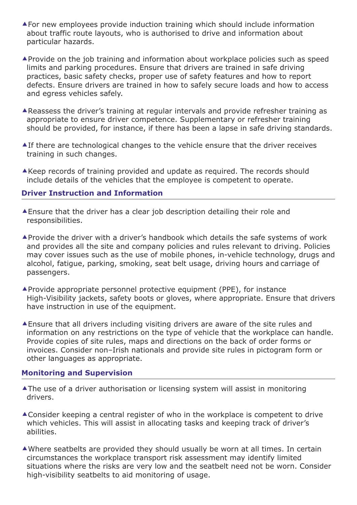- For new employees provide induction training which should include information about traffic route layouts, who is authorised to drive and information about particular hazards.
- Provide on the job training and information about workplace policies such as speed limits and parking procedures. Ensure that drivers are trained in safe driving practices, basic safety checks, proper use of safety features and how to report defects. Ensure drivers are trained in how to safely secure loads and how to access and egress vehicles safely.
- Reassess the driver's training at regular intervals and provide refresher training as appropriate to ensure driver competence. Supplementary or refresher training should be provided, for instance, if there has been a lapse in safe driving standards.
- **Alf there are technological changes to the vehicle ensure that the driver receives** training in such changes.
- $\triangle$ Keep records of training provided and update as required. The records should include details of the vehicles that the employee is competent to operate.

#### **Driver Instruction and Information**

- Ensure that the driver has a clear job description detailing their role and responsibilities.
- Provide the driver with a driver's handbook which details the safe systems of work and provides all the site and company policies and rules relevant to driving. Policies may cover issues such as the use of mobile phones, in-vehicle technology, drugs and alcohol, fatigue, parking, smoking, seat belt usage, driving hours and carriage of passengers.
- Provide appropriate personnel protective equipment (PPE), for instance High-Visibility jackets, safety boots or gloves, where appropriate. Ensure that drivers have instruction in use of the equipment.
- Ensure that all drivers including visiting drivers are aware of the site rules and information on any restrictions on the type of vehicle that the workplace can handle. Provide copies of site rules, maps and directions on the back of order forms or invoices. Consider non–Irish nationals and provide site rules in pictogram form or other languages as appropriate.

#### **Monitoring and Supervision**

- ▲ The use of a driver authorisation or licensing system will assist in monitoring drivers.
- ▲ Consider keeping a central register of who in the workplace is competent to drive which vehicles. This will assist in allocating tasks and keeping track of driver's abilities.
- Where seatbelts are provided they should usually be worn at all times. In certain circumstances the workplace transport risk assessment may identify limited situations where the risks are very low and the seatbelt need not be worn. Consider high-visibility seatbelts to aid monitoring of usage.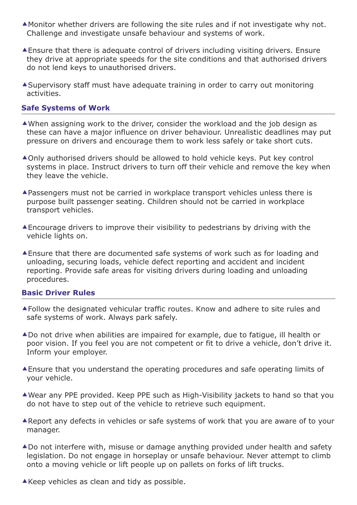- Monitor whether drivers are following the site rules and if not investigate why not. Challenge and investigate unsafe behaviour and systems of work.
- Ensure that there is adequate control of drivers including visiting drivers. Ensure they drive at appropriate speeds for the site conditions and that authorised drivers do not lend keys to unauthorised drivers.
- Supervisory staff must have adequate training in order to carry out monitoring activities.

#### **Safe Systems of Work**

- When assigning work to the driver, consider the workload and the job design as these can have a major influence on driver behaviour. Unrealistic deadlines may put pressure on drivers and encourage them to work less safely or take short cuts.
- ▲ Only authorised drivers should be allowed to hold vehicle keys. Put key control systems in place. Instruct drivers to turn off their vehicle and remove the key when they leave the vehicle.
- Passengers must not be carried in workplace transport vehicles unless there is purpose built passenger seating. Children should not be carried in workplace transport vehicles.
- Encourage drivers to improve their visibility to pedestrians by driving with the vehicle lights on.
- Ensure that there are documented safe systems of work such as for loading and unloading, securing loads, vehicle defect reporting and accident and incident reporting. Provide safe areas for visiting drivers during loading and unloading procedures.

#### **Basic Driver Rules**

- Follow the designated vehicular traffic routes. Know and adhere to site rules and safe systems of work. Always park safely.
- ▲ Do not drive when abilities are impaired for example, due to fatique, ill health or poor vision. If you feel you are not competent or fit to drive a vehicle, don't drive it. Inform your employer.
- Ensure that you understand the operating procedures and safe operating limits of your vehicle.
- Wear any PPE provided. Keep PPE such as High-Visibility jackets to hand so that you do not have to step out of the vehicle to retrieve such equipment.
- Report any defects in vehicles or safe systems of work that you are aware of to your manager.
- ▲ Do not interfere with, misuse or damage anything provided under health and safety legislation. Do not engage in horseplay or unsafe behaviour. Never attempt to climb onto a moving vehicle or lift people up on pallets on forks of lift trucks.
- $\triangle$  Keep vehicles as clean and tidy as possible.